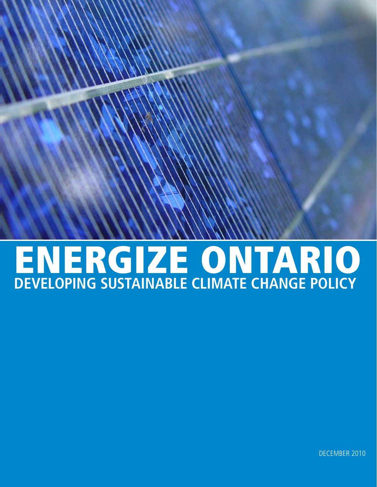# ENERGIZE ONTARIO **DEVELOPING SUSTAINABLE CLIMATE CHANGE POLICY**

DECEMBER 2010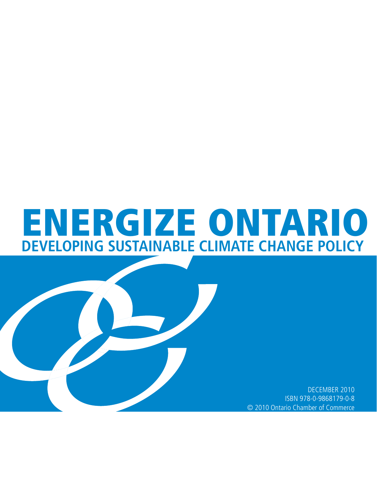# ENERGIZE ONTARIO **DEVELOPING SUSTAINABLE CLIMATE CHANGE POLICY**

DECEMBER 2010 ISBN 978-0-9868179-0-8 © 2010 Ontario Chamber of Commerce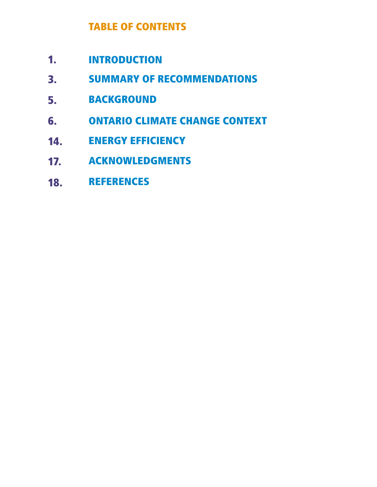# TABLE OF CONTENTS

- INTRODUCTION 1.
- SUMMARY OF RECOMMENDATIONS 3.
- BACKGROUND 5.
- ONTARIO CLIMATE CHANGE CONTEXT 6.
- ENERGY EFFICIENCY 14.
- ACKNOWLEDGMENTS 17.
- REFERENCES 18.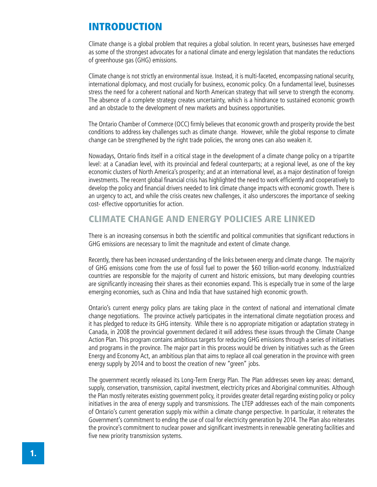# INTRODUCTION

Climate change is a global problem that requires a global solution. In recent years, businesses have emerged as some of the strongest advocates for a national climate and energy legislation that mandates the reductions of greenhouse gas (GHG) emissions.

Climate change is not strictly an environmental issue. Instead, it is multi-faceted, encompassing national security, international diplomacy, and most crucially for business, economic policy. On a fundamental level, businesses stress the need for a coherent national and North American strategy that will serve to strength the economy. The absence of a complete strategy creates uncertainty, which is a hindrance to sustained economic growth and an obstacle to the development of new markets and business opportunities.

The Ontario Chamber of Commerce (OCC) firmly believes that economic growth and prosperity provide the best conditions to address key challenges such as climate change. However, while the global response to climate change can be strengthened by the right trade policies, the wrong ones can also weaken it.

Nowadays, Ontario finds itself in a critical stage in the development of a climate change policy on a tripartite level: at a Canadian level, with its provincial and federal counterparts; at a regional level, as one of the key economic clusters of North America's prosperity; and at an international level, as a major destination of foreign investments. The recent global financial crisis has highlighted the need to work efficiently and cooperatively to develop the policy and financial drivers needed to link climate change impacts with economic growth. There is an urgency to act, and while the crisis creates new challenges, it also underscores the importance of seeking cost- effective opportunities for action.

# CLIMATE CHANGE AND ENERGY POLICIES ARE LINKED

There is an increasing consensus in both the scientific and political communities that significant reductions in GHG emissions are necessary to limit the magnitude and extent of climate change.

Recently, there has been increased understanding of the links between energy and climate change. The majority of GHG emissions come from the use of fossil fuel to power the \$60 trillion-world economy. Industrialized countries are responsible for the majority of current and historic emissions, but many developing countries are significantly increasing their shares as their economies expand. This is especially true in some of the large emerging economies, such as China and India that have sustained high economic growth.

Ontario's current energy policy plans are taking place in the context of national and international climate change negotiations. The province actively participates in the international climate negotiation process and it has pledged to reduce its GHG intensity. While there is no appropriate mitigation or adaptation strategy in Canada, in 2008 the provincial government declared it will address these issues through the Climate Change Action Plan. This program contains ambitious targets for reducing GHG emissions through a series of initiatives and programs in the province. The major part in this process would be driven by initiatives such as the Green Energy and Economy Act, an ambitious plan that aims to replace all coal generation in the province with green energy supply by 2014 and to boost the creation of new "green" jobs.

The government recently released its Long-Term Energy Plan. The Plan addresses seven key areas: demand, supply, conservation, transmission, capital investment, electricity prices and Aboriginal communities. Although the Plan mostly reiterates existing government policy, it provides greater detail regarding existing policy or policy initiatives in the area of energy supply and transmissions. The LTEP addresses each of the main components of Ontario's current generation supply mix within a climate change perspective. In particular, it reiterates the Government's commitment to ending the use of coal for electricity generation by 2014. The Plan also reiterates the province's commitment to nuclear power and significant investments in renewable generating facilities and five new priority transmission systems.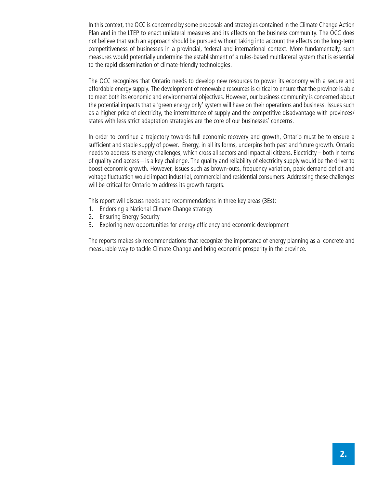In this context, the OCC is concerned by some proposals and strategies contained in the Climate Change Action Plan and in the LTEP to enact unilateral measures and its effects on the business community. The OCC does not believe that such an approach should be pursued without taking into account the effects on the long-term competitiveness of businesses in a provincial, federal and international context. More fundamentally, such measures would potentially undermine the establishment of a rules-based multilateral system that is essential to the rapid dissemination of climate-friendly technologies.

The OCC recognizes that Ontario needs to develop new resources to power its economy with a secure and affordable energy supply. The development of renewable resources is critical to ensure that the province is able to meet both its economic and environmental objectives. However, our business community is concerned about the potential impacts that a 'green energy only' system will have on their operations and business. Issues such as a higher price of electricity, the intermittence of supply and the competitive disadvantage with provinces/ states with less strict adaptation strategies are the core of our businesses' concerns.

In order to continue a trajectory towards full economic recovery and growth, Ontario must be to ensure a sufficient and stable supply of power. Energy, in all its forms, underpins both past and future growth. Ontario needs to address its energy challenges, which cross all sectors and impact all citizens. Electricity – both in terms of quality and access – is a key challenge. The quality and reliability of electricity supply would be the driver to boost economic growth. However, issues such as brown-outs, frequency variation, peak demand deficit and voltage fluctuation would impact industrial, commercial and residential consumers. Addressing these challenges will be critical for Ontario to address its growth targets.

This report will discuss needs and recommendations in three key areas (3Es):

- 1. Endorsing a National Climate Change strategy
- 2. Ensuring Energy Security
- 3. Exploring new opportunities for energy efficiency and economic development

The reports makes six recommendations that recognize the importance of energy planning as a concrete and measurable way to tackle Climate Change and bring economic prosperity in the province.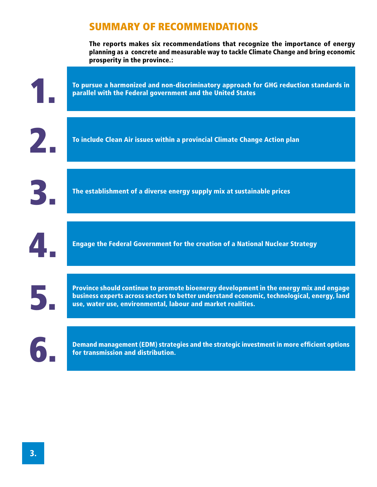# SUMMARY OF RECOMMENDATIONS

The reports makes six recommendations that recognize the importance of energy planning as a concrete and measurable way to tackle Climate Change and bring economic prosperity in the province.:

|                           | To pursue a harmonized and non-discriminatory approach for GHG reduction standards in<br>parallel with the Federal government and the United States                                                                                                 |
|---------------------------|-----------------------------------------------------------------------------------------------------------------------------------------------------------------------------------------------------------------------------------------------------|
| $\mathbf{Z}_{\mathbf{I}}$ | To include Clean Air issues within a provincial Climate Change Action plan                                                                                                                                                                          |
| 3                         | The establishment of a diverse energy supply mix at sustainable prices                                                                                                                                                                              |
|                           | <b>Engage the Federal Government for the creation of a National Nuclear Strategy</b>                                                                                                                                                                |
| 5,                        | Province should continue to promote bioenergy development in the energy mix and engage<br>business experts across sectors to better understand economic, technological, energy, land<br>use, water use, environmental, labour and market realities. |
| 6                         | Demand management (EDM) strategies and the strategic investment in more efficient options<br>for transmission and distribution.                                                                                                                     |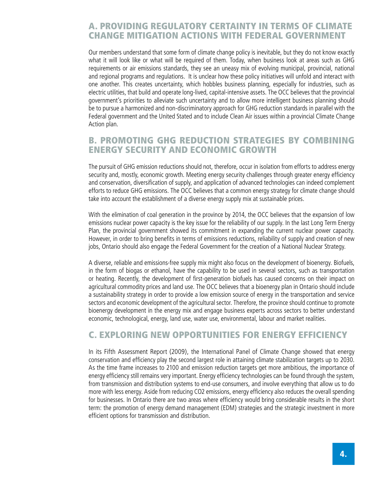# A. PROVIDING REGULATORY CERTAINTY IN TERMS OF CLIMATE CHANGE MITIGATION ACTIONS WITH FEDERAL GOVERNMENT

Our members understand that some form of climate change policy is inevitable, but they do not know exactly what it will look like or what will be required of them. Today, when business look at areas such as GHG requirements or air emissions standards, they see an uneasy mix of evolving municipal, provincial, national and regional programs and regulations. It is unclear how these policy initiatives will unfold and interact with one another. This creates uncertainty, which hobbles business planning, especially for industries, such as electric utilities, that build and operate long-lived, capital-intensive assets. The OCC believes that the provincial government's priorities to alleviate such uncertainty and to allow more intelligent business planning should be to pursue a harmonized and non-discriminatory approach for GHG reduction standards in parallel with the Federal government and the United Stated and to include Clean Air issues within a provincial Climate Change Action plan.

# B. PROMOTING GHG REDUCTION STRATEGIES BY COMBINING ENERGY SECURITY AND ECONOMIC GROWTH

The pursuit of GHG emission reductions should not, therefore, occur in isolation from efforts to address energy security and, mostly, economic growth. Meeting energy security challenges through greater energy efficiency and conservation, diversification of supply, and application of advanced technologies can indeed complement efforts to reduce GHG emissions. The OCC believes that a common energy strategy for climate change should take into account the establishment of a diverse energy supply mix at sustainable prices.

With the elimination of coal generation in the province by 2014, the OCC believes that the expansion of low emissions nuclear power capacity is the key issue for the reliability of our supply. In the last Long Term Energy Plan, the provincial government showed its commitment in expanding the current nuclear power capacity. However, in order to bring benefits in terms of emissions reductions, reliability of supply and creation of new jobs, Ontario should also engage the Federal Government for the creation of a National Nuclear Strategy.

A diverse, reliable and emissions-free supply mix might also focus on the development of bioenergy. Biofuels, in the form of biogas or ethanol, have the capability to be used in several sectors, such as transportation or heating. Recently, the development of first-generation biofuels has caused concerns on their impact on agricultural commodity prices and land use. The OCC believes that a bioenergy plan in Ontario should include a sustainability strategy in order to provide a low emission source of energy in the transportation and service sectors and economic development of the agricultural sector. Therefore, the province should continue to promote bioenergy development in the energy mix and engage business experts across sectors to better understand economic, technological, energy, land use, water use, environmental, labour and market realities.

## C. EXPLORING NEW OPPORTUNITIES FOR ENERGY EFFICIENCY

In its Fifth Assessment Report (2009), the International Panel of Climate Change showed that energy conservation and efficiency play the second largest role in attaining climate stabilization targets up to 2030. As the time frame increases to 2100 and emission reduction targets get more ambitious, the importance of energy efficiency still remains very important. Energy efficiency technologies can be found through the system, from transmission and distribution systems to end-use consumers, and involve everything that allow us to do more with less energy. Aside from reducing CO2 emissions, energy efficiency also reduces the overall spending for businesses. In Ontario there are two areas where efficiency would bring considerable results in the short term: the promotion of energy demand management (EDM) strategies and the strategic investment in more efficient options for transmission and distribution.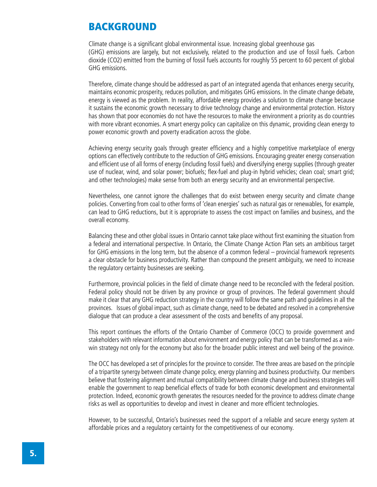# BACKGROUND

Climate change is a significant global environmental issue. Increasing global greenhouse gas (GHG) emissions are largely, but not exclusively, related to the production and use of fossil fuels. Carbon dioxide (CO2) emitted from the burning of fossil fuels accounts for roughly 55 percent to 60 percent of global GHG emissions.

Therefore, climate change should be addressed as part of an integrated agenda that enhances energy security, maintains economic prosperity, reduces pollution, and mitigates GHG emissions. In the climate change debate, energy is viewed as the problem. In reality, affordable energy provides a solution to climate change because it sustains the economic growth necessary to drive technology change and environmental protection. History has shown that poor economies do not have the resources to make the environment a priority as do countries with more vibrant economies. A smart energy policy can capitalize on this dynamic, providing clean energy to power economic growth and poverty eradication across the globe.

Achieving energy security goals through greater efficiency and a highly competitive marketplace of energy options can effectively contribute to the reduction of GHG emissions. Encouraging greater energy conservation and efficient use of all forms of energy (including fossil fuels) and diversifying energy supplies (through greater use of nuclear, wind, and solar power; biofuels; flex-fuel and plug-in hybrid vehicles; clean coal; smart grid; and other technologies) make sense from both an energy security and an environmental perspective.

Nevertheless, one cannot ignore the challenges that do exist between energy security and climate change policies. Converting from coal to other forms of 'clean energies' such as natural gas or renewables, for example, can lead to GHG reductions, but it is appropriate to assess the cost impact on families and business, and the overall economy.

Balancing these and other global issues in Ontario cannot take place without first examining the situation from a federal and international perspective. In Ontario, the Climate Change Action Plan sets an ambitious target for GHG emissions in the long term, but the absence of a common federal – provincial framework represents a clear obstacle for business productivity. Rather than compound the present ambiguity, we need to increase the regulatory certainty businesses are seeking.

Furthermore, provincial policies in the field of climate change need to be reconciled with the federal position. Federal policy should not be driven by any province or group of provinces. The federal government should make it clear that any GHG reduction strategy in the country will follow the same path and guidelines in all the provinces. Issues of global impact, such as climate change, need to be debated and resolved in a comprehensive dialogue that can produce a clear assessment of the costs and benefits of any proposal.

This report continues the efforts of the Ontario Chamber of Commerce (OCC) to provide government and stakeholders with relevant information about environment and energy policy that can be transformed as a winwin strategy not only for the economy but also for the broader public interest and well being of the province.

The OCC has developed a set of principles for the province to consider. The three areas are based on the principle of a tripartite synergy between climate change policy, energy planning and business productivity. Our members believe that fostering alignment and mutual compatibility between climate change and business strategies will enable the government to reap beneficial effects of trade for both economic development and environmental protection. Indeed, economic growth generates the resources needed for the province to address climate change risks as well as opportunities to develop and invest in cleaner and more efficient technologies.

However, to be successful, Ontario's businesses need the support of a reliable and secure energy system at affordable prices and a regulatory certainty for the competitiveness of our economy.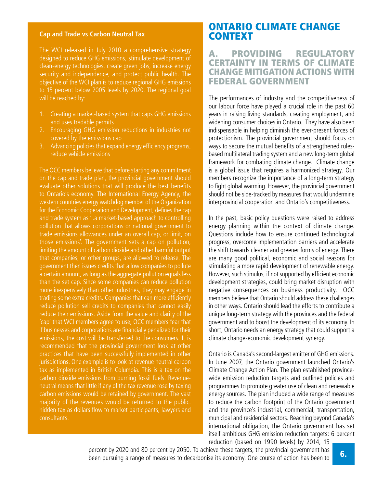### **Cap and Trade vs Carbon Neutral Tax**

The WCI released in July 2010 a comprehensive strategy designed to reduce GHG emissions, stimulate development of clean-energy technologies, create green jobs, increase energy security and independence, and protect public health. The objective of the WCI plan is to reduce regional GHG emissions to 15 percent below 2005 levels by 2020. The regional goal will be reached by:

- 1. Creating a market-based system that caps GHG emissions and uses tradable permits
- 2. Encouraging GHG emission reductions in industries not covered by the emissions cap
- 3. Advancing policies that expand energy efficiency programs, reduce vehicle emissions

The OCC members believe that before starting any commitment on the cap and trade plan, the provincial government should evaluate other solutions that will produce the best benefits to Ontario's economy. The International Energy Agency, the western countries energy watchdog member of the Organization for the Economic Cooperation and Development, defines the cap and trade system as '..a market-based approach to controlling pollution that allows corporations or national government to trade emissions allowances under an overall cap, or limit, on those emissions'. The government sets a cap on pollution, limiting the amount of carbon dioxide and other harmful output that companies, or other groups, are allowed to release. The government then issues credits that allow companies to pollute a certain amount, as long as the aggregate pollution equals less than the set cap. Since some companies can reduce pollution more inexpensively than other industries, they may engage in trading some extra credits. Companies that can more efficiently reduce pollution sell credits to companies that cannot easily reduce their emissions. Aside from the value and clarity of the 'cap' that WCI members agree to use, OCC members fear that if businesses and corporations are financially penalized for their emissions, the cost will be transferred to the consumers. It is recommended that the provincial government look at other practices that have been successfully implemented in other jurisdictions. One example is to look at revenue neutral carbon tax as implemented in British Columbia. This is a tax on the carbon dioxide emissions from burning fossil fuels. Revenueneutral means that little if any of the tax revenue rose by taxing carbon emissions would be retained by government. The vast majority of the revenues would be returned to the public. hidden tax as dollars flow to market participants, lawyers and consultants.

# ONTARIO CLIMATE CHANGE CONTEXT

## A. PROVIDING REGULATORY CERTAINTY IN TERMS OF CLIMATE CHANGE MITIGATION ACTIONS WITH FEDERAL GOVERNMENT

The performances of industry and the competitiveness of our labour force have played a crucial role in the past 60 years in raising living standards, creating employment, and widening consumer choices in Ontario. They have also been indispensable in helping diminish the ever-present forces of protectionism. The provincial government should focus on ways to secure the mutual benefits of a strengthened rulesbased multilateral trading system and a new long-term global framework for combating climate change. Climate change is a global issue that requires a harmonized strategy. Our members recognize the importance of a long-term strategy to fight global warming. However, the provincial government should not be side-tracked by measures that would undermine interprovincial cooperation and Ontario's competitiveness.

In the past, basic policy questions were raised to address energy planning within the context of climate change. Questions include how to ensure continued technological progress, overcome implementation barriers and accelerate the shift towards cleaner and greener forms of energy. There are many good political, economic and social reasons for stimulating a more rapid development of renewable energy. However, such stimulus, if not supported by efficient economic development strategies, could bring market disruption with negative consequences on business productivity. OCC members believe that Ontario should address these challenges in other ways. Ontario should lead the efforts to contribute a unique long-term strategy with the provinces and the federal government and to boost the development of its economy. In short, Ontario needs an energy strategy that could support a climate change-economic development synergy.

Ontario is Canada's second-largest emitter of GHG emissions. In June 2007, the Ontario government launched Ontario's Climate Change Action Plan. The plan established provincewide emission reduction targets and outlined policies and programmes to promote greater use of clean and renewable energy sources. The plan included a wide range of measures to reduce the carbon footprint of the Ontario government and the province's industrial, commercial, transportation, municipal and residential sectors. Reaching beyond Canada's international obligation, the Ontario government has set itself ambitious GHG emission reduction targets: 6 percent reduction (based on 1990 levels) by 2014, 15

percent by 2020 and 80 percent by 2050. To achieve these targets, the provincial government has been pursuing a range of measures to decarbonise its economy. One course of action has been to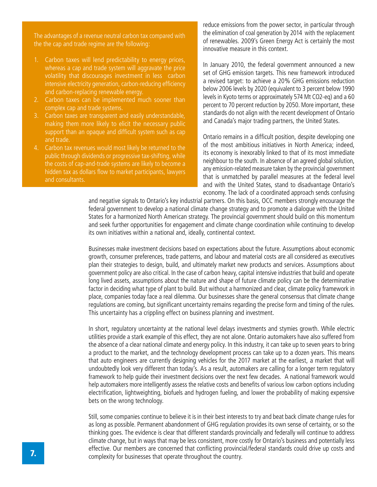The advantages of a revenue neutral carbon tax compared with the the cap and trade regime are the following:

- 1. Carbon taxes will lend predictability to energy prices, whereas a cap and trade system will aggravate the price volatility that discourages investment in less carbon intensive electricity generation, carbon-reducing efficiency and carbon-replacing renewable energy.
- 2. Carbon taxes can be implemented much sooner than complex cap and trade systems.
- 3. Carbon taxes are transparent and easily understandable, making them more likely to elicit the necessary public support than an opaque and difficult system such as cap and trade.
- 4. Carbon tax revenues would most likely be returned to the public through dividends or progressive tax-shifting, while the costs of cap-and-trade systems are likely to become a hidden tax as dollars flow to market participants, lawyers and consultants.

reduce emissions from the power sector, in particular through the elimination of coal generation by 2014 with the replacement of renewables. 2009's Green Energy Act is certainly the most innovative measure in this context.

In January 2010, the federal government announced a new set of GHG emission targets. This new framework introduced a revised target: to achieve a 20% GHG emissions reduction below 2006 levels by 2020 (equivalent to 3 percent below 1990 levels in Kyoto terms or approximately 574 Mt CO2-eq) and a 60 percent to 70 percent reduction by 2050. More important, these standards do not align with the recent development of Ontario and Canada's major trading partners, the United States.

Ontario remains in a difficult position, despite developing one of the most ambitious initiatives in North America; indeed, its economy is inexorably linked to that of its most immediate neighbour to the south. In absence of an agreed global solution, any emission-related measure taken by the provincial government that is unmatched by parallel measures at the federal level and with the United States, stand to disadvantage Ontario's economy. The lack of a coordinated approach sends confusing

and negative signals to Ontario's key industrial partners. On this basis, OCC members strongly encourage the federal government to develop a national climate change strategy and to promote a dialogue with the United States for a harmonized North American strategy. The provincial government should build on this momentum and seek further opportunities for engagement and climate change coordination while continuing to develop its own initiatives within a national and, ideally, continental context.

Businesses make investment decisions based on expectations about the future. Assumptions about economic growth, consumer preferences, trade patterns, and labour and material costs are all considered as executives plan their strategies to design, build, and ultimately market new products and services. Assumptions about government policy are also critical. In the case of carbon heavy, capital intensive industries that build and operate long lived assets, assumptions about the nature and shape of future climate policy can be the determinative factor in deciding what type of plant to build. But without a harmonized and clear, climate policy framework in place, companies today face a real dilemma. Our businesses share the general consensus that climate change regulations are coming, but significant uncertainty remains regarding the precise form and timing of the rules. This uncertainty has a crippling effect on business planning and investment.

In short, regulatory uncertainty at the national level delays investments and stymies growth. While electric utilities provide a stark example of this effect, they are not alone. Ontario automakers have also suffered from the absence of a clear national climate and energy policy. In this industry, it can take up to seven years to bring a product to the market, and the technology development process can take up to a dozen years. This means that auto engineers are currently designing vehicles for the 2017 market at the earliest, a market that will undoubtedly look very different than today's. As a result, automakers are calling for a longer term regulatory framework to help guide their investment decisions over the next few decades. A national framework would help automakers more intelligently assess the relative costs and benefits of various lowcarbon options including electrification, lightweighting, biofuels and hydrogen fueling, and lower the probability of making expensive bets on the wrong technology.

Still, some companies continue to believe it is in their best interests to try and beat back climate change rules for as long as possible. Permanent abandonment of GHG regulation provides its own sense of certainty, or so the thinking goes. The evidence is clear that different standards provincially and federally will continue to address climate change, but in ways that may be less consistent, more costly for Ontario's business and potentially less effective. Our members are concerned that conflicting provincial/federal standards could drive up costs and complexity for businesses that operate throughout the country.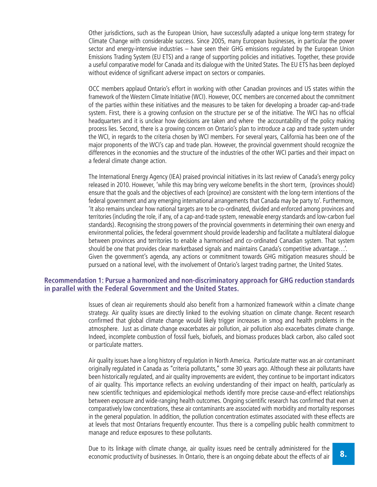Other jurisdictions, such as the European Union, have successfully adapted a unique long-term strategy for Climate Change with considerable success. Since 2005, many European businesses, in particular the power sector and energy-intensive industries – have seen their GHG emissions regulated by the European Union Emissions Trading System (EU ETS) and a range of supporting policies and initiatives. Together, these provide a useful comparative model for Canada and its dialogue with the United States. The EU ETS has been deployed without evidence of significant adverse impact on sectors or companies.

OCC members applaud Ontario's effort in working with other Canadian provinces and US states within the framework of the Western Climate Initiative (WCI). However, OCC members are concerned about the commitment of the parties within these initiatives and the measures to be taken for developing a broader cap-and-trade system. First, there is a growing confusion on the structure per se of the initiative. The WCI has no official headquarters and it is unclear how decisions are taken and where the accountability of the policy making process lies. Second, there is a growing concern on Ontario's plan to introduce a cap and trade system under the WCI, in regards to the criteria chosen by WCI members. For several years, California has been one of the major proponents of the WCI's cap and trade plan. However, the provincial government should recognize the differences in the economies and the structure of the industries of the other WCI parties and their impact on a federal climate change action.

The International Energy Agency (IEA) praised provincial initiatives in its last review of Canada's energy policy released in 2010. However, 'while this may bring very welcome benefits in the short term, (provinces should) ensure that the goals and the objectives of each (province) are consistent with the long-term intentions of the federal government and any emerging international arrangements that Canada may be party to'. Furthermore, 'It also remains unclear how national targets are to be co-ordinated, divided and enforced among provinces and territories (including the role, if any, of a cap-and-trade system, renewable energy standards and low-carbon fuel standards). Recognising the strong powers of the provincial governments in determining their own energy and environmental policies, the federal government should provide leadership and facilitate a multilateral dialogue between provinces and territories to enable a harmonised and co-ordinated Canadian system. That system should be one that provides clear marketbased signals and maintains Canada's competitive advantage…'. Given the government's agenda, any actions or commitment towards GHG mitigation measures should be pursued on a national level, with the involvement of Ontario's largest trading partner, the United States.

## **Recommendation 1: Pursue a harmonized and non-discriminatory approach for GHG reduction standards in parallel with the Federal Government and the United States.**

Issues of clean air requirements should also benefit from a harmonized framework within a climate change strategy. Air quality issues are directly linked to the evolving situation on climate change. Recent research confirmed that global climate change would likely trigger increases in smog and health problems in the atmosphere. Just as climate change exacerbates air pollution, air pollution also exacerbates climate change. Indeed, incomplete combustion of fossil fuels, biofuels, and biomass produces black carbon, also called soot or particulate matters.

Air quality issues have a long history of regulation in North America. Particulate matter was an air contaminant originally regulated in Canada as "criteria pollutants," some 30 years ago. Although these air pollutants have been historically regulated, and air quality improvements are evident, they continue to be important indicators of air quality. This importance reflects an evolving understanding of their impact on health, particularly as new scientific techniques and epidemiological methods identify more precise cause-and-effect relationships between exposure and wide-ranging health outcomes. Ongoing scientific research has confirmed that even at comparatively low concentrations, these air contaminants are associated with morbidity and mortality responses in the general population. In addition, the pollution concentration estimates associated with these effects are at levels that most Ontarians frequently encounter. Thus there is a compelling public health commitment to manage and reduce exposures to these pollutants.

Due to its linkage with climate change, air quality issues need be centrally administered for the economic productivity of businesses. In Ontario, there is an ongoing debate about the effects of air **8.**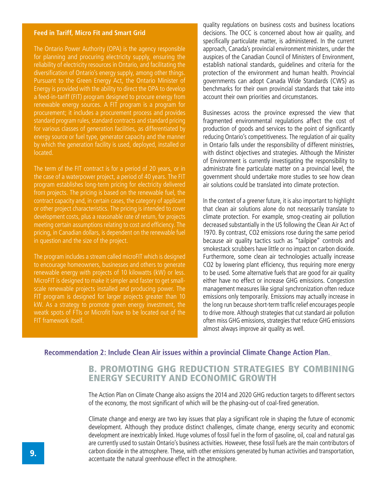#### **Feed in Tariff, Micro Fit and Smart Grid**

The Ontario Power Authority (OPA) is the agency responsible for planning and procuring electricity supply, ensuring the reliability of electricity resources in Ontario, and facilitating the diversification of Ontario's energy supply, among other things. Pursuant to the Green Energy Act, the Ontario Minister of Energy is provided with the ability to direct the OPA to develop a feed-in-tariff (FIT) program designed to procure energy from renewable energy sources. A FIT program is a program for procurement; it includes a procurement process and provides standard program rules, standard contracts and standard pricing for various classes of generation facilities, as differentiated by energy source or fuel type, generator capacity and the manner by which the generation facility is used, deployed, installed or located.

The term of the FIT contract is for a period of 20 years, or in the case of a waterpower project, a period of 40 years. The FIT program establishes long-term pricing for electricity delivered from projects. The pricing is based on the renewable fuel, the contract capacity and, in certain cases, the category of applicant or other project characteristics. The pricing is intended to cover development costs, plus a reasonable rate of return, for projects meeting certain assumptions relating to cost and efficiency. The pricing, in Canadian dollars, is dependent on the renewable fuel in question and the size of the project.

The program includes a stream called microFIT which is designed to encourage homeowners, businesses and others to generate renewable energy with projects of 10 kilowatts (kW) or less. MicroFIT is designed to make it simpler and faster to get smallscale renewable projects installed and producing power. The FIT program is designed for larger projects greater than 10 kW. As a strategy to promote green energy investment, the weatk spots of FTIs or Microfit have to be located out of the FIT framework itself.

quality regulations on business costs and business locations decisions. The OCC is concerned about how air quality, and specifically particulate matter, is administered. In the current approach, Canada's provincial environment ministers, under the auspices of the Canadian Council of Ministers of Environment, establish national standards, guidelines and criteria for the protection of the environment and human health. Provincial governments can adopt Canada Wide Standards (CWS) as benchmarks for their own provincial standards that take into account their own priorities and circumstances.

Businesses across the province expressed the view that fragmented environmental regulations affect the cost of production of goods and services to the point of significantly reducing Ontario's competitiveness. The regulation of air quality in Ontario falls under the responsibility of different ministries, with distinct objectives and strategies. Although the Minister of Environment is currently investigating the responsibility to administrate fine particulate matter on a provincial level, the government should undertake more studies to see how clean air solutions could be translated into climate protection.

In the context of a greener future, it is also important to highlight that clean air solutions alone do not necessarily translate to climate protection. For example, smog-creating air pollution decreased substantially in the US following the Clean Air Act of 1970. By contrast, CO2 emissions rose during the same period because air quality tactics such as "tailpipe" controls and smokestack scrubbers have little or no impact on carbon dioxide. Furthermore, some clean air technologies actually increase CO2 by lowering plant efficiency, thus requiring more energy to be used. Some alternative fuels that are good for air quality either have no effect or increase GHG emissions. Congestion management measures like signal synchronization often reduce emissions only temporarily. Emissions may actually increase in the long run because short-term traffic relief encourages people to drive more. Although strategies that cut standard air pollution often miss GHG emissions, strategies that reduce GHG emissions almost always improve air quality as well.

## **Recommendation 2: Include Clean Air issues within a provincial Climate Change Action Plan.**

# B. PROMOTING GHG REDUCTION STRATEGIES BY COMBINING ENERGY SECURITY AND ECONOMIC GROWTH

The Action Plan on Climate Change also assigns the 2014 and 2020 GHG reduction targets to different sectors of the economy, the most significant of which will be the phasing-out of coal-fired generation.

Climate change and energy are two key issues that play a significant role in shaping the future of economic development. Although they produce distinct challenges, climate change, energy security and economic development are inextricably linked. Huge volumes of fossil fuel in the form of gasoline, oil, coal and natural gas are currently used to sustain Ontario's business activities. However, these fossil fuels are the main contributors of carbon dioxide in the atmosphere. These, with other emissions generated by human activities and transportation, accentuate the natural greenhouse effect in the atmosphere.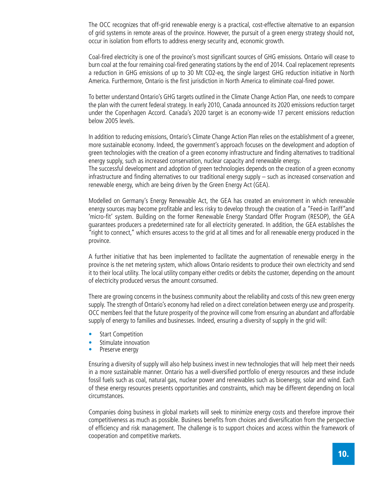The OCC recognizes that off-grid renewable energy is a practical, cost-effective alternative to an expansion of grid systems in remote areas of the province. However, the pursuit of a green energy strategy should not, occur in isolation from efforts to address energy security and, economic growth.

Coal-fired electricity is one of the province's most significant sources of GHG emissions. Ontario will cease to burn coal at the four remaining coal-fired generating stations by the end of 2014. Coal replacement represents a reduction in GHG emissions of up to 30 Mt CO2-eq, the single largest GHG reduction initiative in North America. Furthermore, Ontario is the first jurisdiction in North America to eliminate coal-fired power.

To better understand Ontario's GHG targets outlined in the Climate Change Action Plan, one needs to compare the plan with the current federal strategy. In early 2010, Canada announced its 2020 emissions reduction target under the Copenhagen Accord. Canada's 2020 target is an economy-wide 17 percent emissions reduction below 2005 levels.

In addition to reducing emissions, Ontario's Climate Change Action Plan relies on the establishment of a greener, more sustainable economy. Indeed, the government's approach focuses on the development and adoption of green technologies with the creation of a green economy infrastructure and finding alternatives to traditional energy supply, such as increased conservation, nuclear capacity and renewable energy.

The successful development and adoption of green technologies depends on the creation of a green economy infrastructure and finding alternatives to our traditional energy supply – such as increased conservation and renewable energy, which are being driven by the Green Energy Act (GEA).

Modelled on Germany's Energy Renewable Act, the GEA has created an environment in which renewable energy sources may become profitable and less risky to develop through the creation of a "Feed-in Tariff"and 'micro-fit' system. Building on the former Renewable Energy Standard Offer Program (RESOP), the GEA guarantees producers a predetermined rate for all electricity generated. In addition, the GEA establishes the "right to connect," which ensures access to the grid at all times and for all renewable energy produced in the province.

A further initiative that has been implemented to facilitate the augmentation of renewable energy in the province is the net metering system, which allows Ontario residents to produce their own electricity and send it to their local utility. The local utility company either credits or debits the customer, depending on the amount of electricity produced versus the amount consumed.

There are growing concerns in the business community about the reliability and costs of this new green energy supply. The strength of Ontario's economy had relied on a direct correlation between energy use and prosperity. OCC members feel that the future prosperity of the province will come from ensuring an abundant and affordable supply of energy to families and businesses. Indeed, ensuring a diversity of supply in the grid will:

- Start Competition
- Stimulate innovation
- Preserve energy

Ensuring a diversity of supply will also help business invest in new technologies that will help meet their needs in a more sustainable manner. Ontario has a well-diversified portfolio of energy resources and these include fossil fuels such as coal, natural gas, nuclear power and renewables such as bioenergy, solar and wind. Each of these energy resources presents opportunities and constraints, which may be different depending on local circumstances.

Companies doing business in global markets will seek to minimize energy costs and therefore improve their competitiveness as much as possible. Business benefits from choices and diversification from the perspective of efficiency and risk management. The challenge is to support choices and access within the framework of cooperation and competitive markets.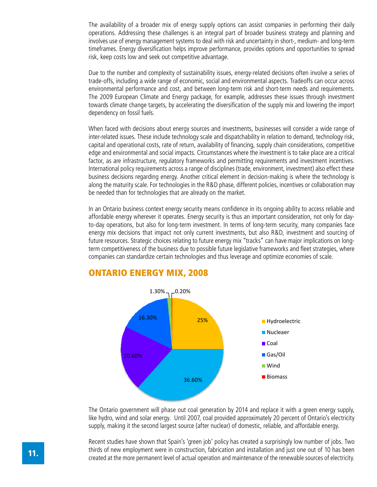The availability of a broader mix of energy supply options can assist companies in performing their daily operations. Addressing these challenges is an integral part of broader business strategy and planning and involves use of energy management systems to deal with risk and uncertainty in short-, medium- and long-term timeframes. Energy diversification helps improve performance, provides options and opportunities to spread risk, keep costs low and seek out competitive advantage.

Due to the number and complexity of sustainability issues, energy-related decisions often involve a series of trade-offs, including a wide range of economic, social and environmental aspects. Tradeoffs can occur across environmental performance and cost, and between long-term risk and short-term needs and requirements. The 2009 European Climate and Energy package, for example, addresses these issues through investment towards climate change targets, by accelerating the diversification of the supply mix and lowering the import dependency on fossil fuels.

When faced with decisions about energy sources and investments, businesses will consider a wide range of inter-related issues. These include technology scale and dispatchability in relation to demand, technology risk, capital and operational costs, rate of return, availability of financing, supply chain considerations, competitive edge and environmental and social impacts. Circumstances where the investment is to take place are a critical factor, as are infrastructure, regulatory frameworks and permitting requirements and investment incentives. International policy requirements across a range of disciplines (trade, environment, investment) also effect these business decisions regarding energy. Another critical element in decision-making is where the technology is along the maturity scale. For technologies in the R&D phase, different policies, incentives or collaboration may be needed than for technologies that are already on the market.

In an Ontario business context energy security means confidence in its ongoing ability to access reliable and affordable energy wherever it operates. Energy security is thus an important consideration, not only for dayto-day operations, but also for long-term investment. In terms of long-term security, many companies face energy mix decisions that impact not only current investments, but also R&D, investment and sourcing of future resources. Strategic choices relating to future energy mix "tracks" can have major implications on longterm competitiveness of the business due to possible future legislative frameworks and fleet strategies, where companies can standardize certain technologies and thus leverage and optimize economies of scale.



# ONTARIO ENERGY MIX, 2008

The Ontario government will phase out coal generation by 2014 and replace it with a green energy supply, like hydro, wind and solar energy. Until 2007, coal provided approximately 20 percent of Ontario's electricity supply, making it the second largest source (after nuclear) of domestic, reliable, and affordable energy.

Recent studies have shown that Spain's 'green job' policy has created a surprisingly low number of jobs. Two thirds of new employment were in construction, fabrication and installation and just one out of 10 has been created at the more permanent level of actual operation and maintenance of the renewable sources of electricity.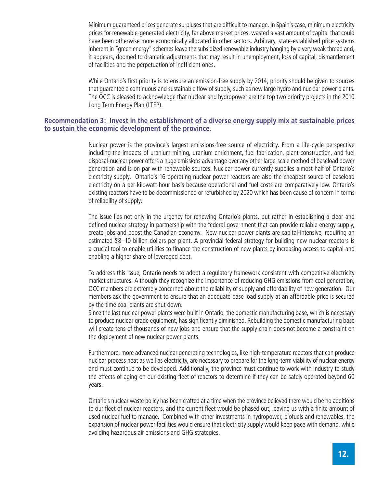Minimum guaranteed prices generate surpluses that are difficult to manage. In Spain's case, minimum electricity prices for renewable-generated electricity, far above market prices, wasted a vast amount of capital that could have been otherwise more economically allocated in other sectors. Arbitrary, state-established price systems inherent in "green energy" schemes leave the subsidized renewable industry hanging by a very weak thread and, it appears, doomed to dramatic adjustments that may result in unemployment, loss of capital, dismantlement of facilities and the perpetuation of inefficient ones.

While Ontario's first priority is to ensure an emission-free supply by 2014, priority should be given to sources that guarantee a continuous and sustainable flow of supply, such as new large hydro and nuclear power plants. The OCC is pleased to acknowledge that nuclear and hydropower are the top two priority projects in the 2010 Long Term Energy Plan (LTEP).

## **Recommendation 3: Invest in the establishment of a diverse energy supply mix at sustainable prices to sustain the economic development of the province.**

Nuclear power is the province's largest emissions-free source of electricity. From a life-cycle perspective including the impacts of uranium mining, uranium enrichment, fuel fabrication, plant construction, and fuel disposal-nuclear power offers a huge emissions advantage over any other large-scale method of baseload power generation and is on par with renewable sources. Nuclear power currently supplies almost half of Ontario's electricity supply. Ontario's 16 operating nuclear power reactors are also the cheapest source of baseload electricity on a per-kilowatt-hour basis because operational and fuel costs are comparatively low. Ontario's existing reactors have to be decommissioned or refurbished by 2020 which has been cause of concern in terms of reliability of supply.

The issue lies not only in the urgency for renewing Ontario's plants, but rather in establishing a clear and defined nuclear strategy in partnership with the federal government that can provide reliable energy supply, create jobs and boost the Canadian economy. New nuclear power plants are capital-intensive, requiring an estimated \$8–10 billion dollars per plant. A provincial-federal strategy for building new nuclear reactors is a crucial tool to enable utilities to finance the construction of new plants by increasing access to capital and enabling a higher share of leveraged debt.

To address this issue, Ontario needs to adopt a regulatory framework consistent with competitive electricity market structures. Although they recognize the importance of reducing GHG emissions from coal generation, OCC members are extremely concerned about the reliability of supply and affordability of new generation. Our members ask the government to ensure that an adequate base load supply at an affordable price is secured by the time coal plants are shut down.

Since the last nuclear power plants were built in Ontario, the domestic manufacturing base, which is necessary to produce nuclear grade equipment, has significantly diminished. Rebuilding the domestic manufacturing base will create tens of thousands of new jobs and ensure that the supply chain does not become a constraint on the deployment of new nuclear power plants.

Furthermore, more advanced nuclear generating technologies, like high-temperature reactors that can produce nuclear process heat as well as electricity, are necessary to prepare for the long-term viability of nuclear energy and must continue to be developed. Additionally, the province must continue to work with industry to study the effects of aging on our existing fleet of reactors to determine if they can be safely operated beyond 60 years.

Ontario's nuclear waste policy has been crafted at a time when the province believed there would be no additions to our fleet of nuclear reactors, and the current fleet would be phased out, leaving us with a finite amount of used nuclear fuel to manage. Combined with other investments in hydropower, biofuels and renewables, the expansion of nuclear power facilities would ensure that electricity supply would keep pace with demand, while avoiding hazardous air emissions and GHG strategies.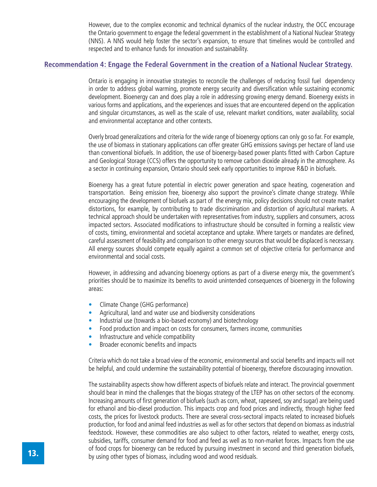However, due to the complex economic and technical dynamics of the nuclear industry, the OCC encourage the Ontario government to engage the federal government in the establishment of a National Nuclear Strategy (NNS). A NNS would help foster the sector's expansion, to ensure that timelines would be controlled and respected and to enhance funds for innovation and sustainability.

## **Recommendation 4: Engage the Federal Government in the creation of a National Nuclear Strategy.**

Ontario is engaging in innovative strategies to reconcile the challenges of reducing fossil fuel dependency in order to address global warming, promote energy security and diversification while sustaining economic development. Bioenergy can and does play a role in addressing growing energy demand. Bioenergy exists in various forms and applications, and the experiences and issues that are encountered depend on the application and singular circumstances, as well as the scale of use, relevant market conditions, water availability, social and environmental acceptance and other contexts.

Overly broad generalizations and criteria for the wide range of bioenergy options can only go so far. For example, the use of biomass in stationary applications can offer greater GHG emissions savings per hectare of land use than conventional biofuels. In addition, the use of bioenergy-based power plants fitted with Carbon Capture and Geological Storage (CCS) offers the opportunity to remove carbon dioxide already in the atmosphere. As a sector in continuing expansion, Ontario should seek early opportunities to improve R&D in biofuels.

Bioenergy has a great future potential in electric power generation and space heating, cogeneration and transportation. Being emission free, bioenergy also support the province's climate change strategy. While encouraging the development of biofuels as part of the energy mix, policy decisions should not create market distortions, for example, by contributing to trade discrimination and distortion of agricultural markets. A technical approach should be undertaken with representatives from industry, suppliers and consumers, across impacted sectors. Associated modifications to infrastructure should be consulted in forming a realistic view of costs, timing, environmental and societal acceptance and uptake. Where targets or mandates are defined, careful assessment of feasibility and comparison to other energy sources that would be displaced is necessary. All energy sources should compete equally against a common set of objective criteria for performance and environmental and social costs.

However, in addressing and advancing bioenergy options as part of a diverse energy mix, the government's priorities should be to maximize its benefits to avoid unintended consequences of bioenergy in the following areas:

- Climate Change (GHG performance)
- Agricultural, land and water use and biodiversity considerations
- Industrial use (towards a bio-based economy) and biotechnology
- Food production and impact on costs for consumers, farmers income, communities
- Infrastructure and vehicle compatibility
- Broader economic benefits and impacts

Criteria which do not take a broad view of the economic, environmental and social benefits and impacts will not be helpful, and could undermine the sustainability potential of bioenergy, therefore discouraging innovation.

The sustainability aspects show how different aspects of biofuels relate and interact. The provincial government should bear in mind the challenges that the biogas strategy of the LTEP has on other sectors of the economy. Increasing amounts of first generation of biofuels (such as corn, wheat, rapeseed, soy and sugar) are being used for ethanol and bio-diesel production. This impacts crop and food prices and indirectly, through higher feed costs, the prices for livestock products. There are several cross-sectoral impacts related to increased biofuels production, for food and animal feed industries as well as for other sectors that depend on biomass as industrial feedstock. However, these commodities are also subject to other factors, related to weather, energy costs, subsidies, tariffs, consumer demand for food and feed as well as to non-market forces. Impacts from the use of food crops for bioenergy can be reduced by pursuing investment in second and third generation biofuels, **13.** By using other types of biomass, including wood and wood residuals.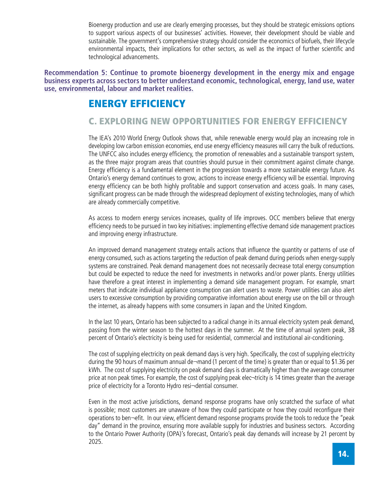Bioenergy production and use are clearly emerging processes, but they should be strategic emissions options to support various aspects of our businesses' activities. However, their development should be viable and sustainable. The government's comprehensive strategy should consider the economics of biofuels, their lifecycle environmental impacts, their implications for other sectors, as well as the impact of further scientific and technological advancements.

**Recommendation 5: Continue to promote bioenergy development in the energy mix and engage business experts across sectors to better understand economic, technological, energy, land use, water use, environmental, labour and market realities.**

# ENERGY EFFICIENCY

# C. EXPLORING NEW OPPORTUNITIES FOR ENERGY EFFICIENCY

The IEA's 2010 World Energy Outlook shows that, while renewable energy would play an increasing role in developing low carbon emission economies, end use energy efficiency measures will carry the bulk of reductions. The UNFCC also includes energy efficiency, the promotion of renewables and a sustainable transport system, as the three major program areas that countries should pursue in their commitment against climate change. Energy efficiency is a fundamental element in the progression towards a more sustainable energy future. As Ontario's energy demand continues to grow, actions to increase energy efficiency will be essential. Improving energy efficiency can be both highly profitable and support conservation and access goals. In many cases, significant progress can be made through the widespread deployment of existing technologies, many of which are already commercially competitive.

As access to modern energy services increases, quality of life improves. OCC members believe that energy efficiency needs to be pursued in two key initiatives: implementing effective demand side management practices and improving energy infrastructure.

An improved demand management strategy entails actions that influence the quantity or patterns of use of energy consumed, such as actions targeting the reduction of peak demand during periods when energy-supply systems are constrained. Peak demand management does not necessarily decrease total energy consumption but could be expected to reduce the need for investments in networks and/or power plants. Energy utilities have therefore a great interest in implementing a demand side management program. For example, smart meters that indicate individual appliance consumption can alert users to waste. Power utilities can also alert users to excessive consumption by providing comparative information about energy use on the bill or through the internet, as already happens with some consumers in Japan and the United Kingdom.

In the last 10 years, Ontario has been subjected to a radical change in its annual electricity system peak demand, passing from the winter season to the hottest days in the summer. At the time of annual system peak, 38 percent of Ontario's electricity is being used for residential, commercial and institutional air-conditioning.

The cost of supplying electricity on peak demand days is very high. Specifically, the cost of supplying electricity during the 90 hours of maximum annual de¬mand (1 percent of the time) is greater than or equal to \$1.36 per kWh. The cost of supplying electricity on peak demand days is dramatically higher than the average consumer price at non peak times. For example, the cost of supplying peak ele⊂-tricity is 14 times greater than the average price of electricity for a Toronto Hydro resi¬dential consumer.

Even in the most active jurisdictions, demand response programs have only scratched the surface of what is possible; most customers are unaware of how they could participate or how they could reconfigure their operations to ben¬efit. In our view, efficient demand response programs provide the tools to reduce the "peak day" demand in the province, ensuring more available supply for industries and business sectors. According to the Ontario Power Authority (OPA)'s forecast, Ontario's peak day demands will increase by 21 percent by 2025.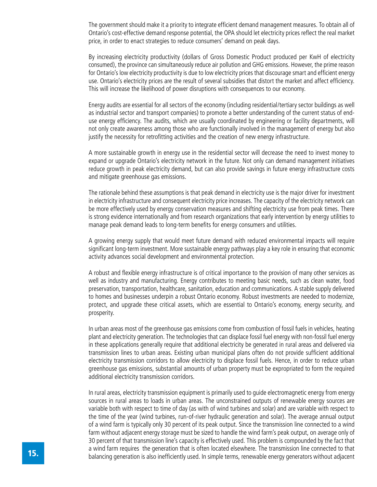The government should make it a priority to integrate efficient demand management measures. To obtain all of Ontario's cost-effective demand response potential, the OPA should let electricity prices reflect the real market price, in order to enact strategies to reduce consumers' demand on peak days.

By increasing electricity productivity (dollars of Gross Domestic Product produced per KwH of electricity consumed), the province can simultaneously reduce air pollution and GHG emissions. However, the prime reason for Ontario's low electricity productivity is due to low electricity prices that discourage smart and efficient energy use. Ontario's electricity prices are the result of several subsidies that distort the market and affect efficiency. This will increase the likelihood of power disruptions with consequences to our economy.

Energy audits are essential for all sectors of the economy (including residential/tertiary sector buildings as well as industrial sector and transport companies) to promote a better understanding of the current status of enduse energy efficiency. The audits, which are usually coordinated by engineering or facility departments, will not only create awareness among those who are functionally involved in the management of energy but also justify the necessity for retrofitting activities and the creation of new energy infrastructure.

A more sustainable growth in energy use in the residential sector will decrease the need to invest money to expand or upgrade Ontario's electricity network in the future. Not only can demand management initiatives reduce growth in peak electricity demand, but can also provide savings in future energy infrastructure costs and mitigate greenhouse gas emissions.

The rationale behind these assumptions is that peak demand in electricity use is the major driver for investment in electricity infrastructure and consequent electricity price increases. The capacity of the electricity network can be more effectively used by energy conservation measures and shifting electricity use from peak times. There is strong evidence internationally and from research organizations that early intervention by energy utilities to manage peak demand leads to long-term benefits for energy consumers and utilities.

A growing energy supply that would meet future demand with reduced environmental impacts will require significant long-term investment. More sustainable energy pathways play a key role in ensuring that economic activity advances social development and environmental protection.

A robust and flexible energy infrastructure is of critical importance to the provision of many other services as well as industry and manufacturing. Energy contributes to meeting basic needs, such as clean water, food preservation, transportation, healthcare, sanitation, education and communications. A stable supply delivered to homes and businesses underpin a robust Ontario economy. Robust investments are needed to modernize, protect, and upgrade these critical assets, which are essential to Ontario's economy, energy security, and prosperity.

In urban areas most of the greenhouse gas emissions come from combustion of fossil fuels in vehicles, heating plant and electricity generation. The technologies that can displace fossil fuel energy with non-fossil fuel energy in these applications generally require that additional electricity be generated in rural areas and delivered via transmission lines to urban areas. Existing urban municipal plans often do not provide sufficient additional electricity transmission corridors to allow electricity to displace fossil fuels. Hence, in order to reduce urban greenhouse gas emissions, substantial amounts of urban property must be expropriated to form the required additional electricity transmission corridors.

In rural areas, electricity transmission equipment is primarily used to guide electromagnetic energy from energy sources in rural areas to loads in urban areas. The unconstrained outputs of renewable energy sources are variable both with respect to time of day (as with of wind turbines and solar) and are variable with respect to the time of the year (wind turbines, run-of-river hydraulic generation and solar). The average annual output of a wind farm is typically only 30 percent of its peak output. Since the transmission line connected to a wind farm without adjacent energy storage must be sized to handle the wind farm's peak output, on average only of 30 percent of that transmission line's capacity is effectively used. This problem is compounded by the fact that a wind farm requires the generation that is often located elsewhere. The transmission line connected to that balancing generation is also inefficiently used. In simple terms, renewable energy generators without adjacent by balancing generation is also inefficiently used. In simple terms, renewable energy generators without adjace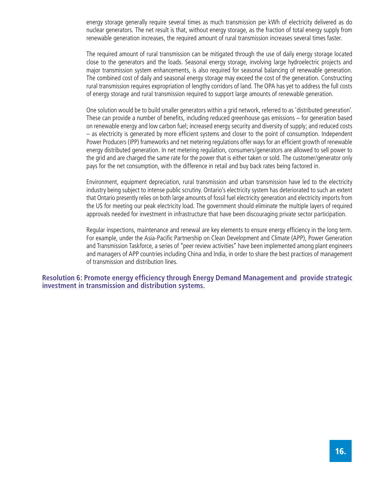energy storage generally require several times as much transmission per kWh of electricity delivered as do nuclear generators. The net result is that, without energy storage, as the fraction of total energy supply from renewable generation increases, the required amount of rural transmission increases several times faster.

The required amount of rural transmission can be mitigated through the use of daily energy storage located close to the generators and the loads. Seasonal energy storage, involving large hydroelectric projects and major transmission system enhancements, is also required for seasonal balancing of renewable generation. The combined cost of daily and seasonal energy storage may exceed the cost of the generation. Constructing rural transmission requires expropriation of lengthy corridors of land. The OPA has yet to address the full costs of energy storage and rural transmission required to support large amounts of renewable generation.

One solution would be to build smaller generators within a grid network, referred to as 'distributed generation'. These can provide a number of benefits, including reduced greenhouse gas emissions – for generation based on renewable energy and low carbon fuel; increased energy security and diversity of supply; and reduced costs – as electricity is generated by more efficient systems and closer to the point of consumption. Independent Power Producers (IPP) frameworks and net metering regulations offer ways for an efficient growth of renewable energy distributed generation. In net metering regulation, consumers/generators are allowed to sell power to the grid and are charged the same rate for the power that is either taken or sold. The customer/generator only pays for the net consumption, with the difference in retail and buy back rates being factored in.

Environment, equipment depreciation, rural transmission and urban transmission have led to the electricity industry being subject to intense public scrutiny. Ontario's electricity system has deteriorated to such an extent that Ontario presently relies on both large amounts of fossil fuel electricity generation and electricity imports from the US for meeting our peak electricity load. The government should eliminate the multiple layers of required approvals needed for investment in infrastructure that have been discouraging private sector participation.

Regular inspections, maintenance and renewal are key elements to ensure energy efficiency in the long term. For example, under the Asia-Pacific Partnership on Clean Development and Climate (APP), Power Generation and Transmission Taskforce, a series of "peer review activities" have been implemented among plant engineers and managers of APP countries including China and India, in order to share the best practices of management of transmission and distribution lines.

**Resolution 6: Promote energy efficiency through Energy Demand Management and provide strategic investment in transmission and distribution systems.**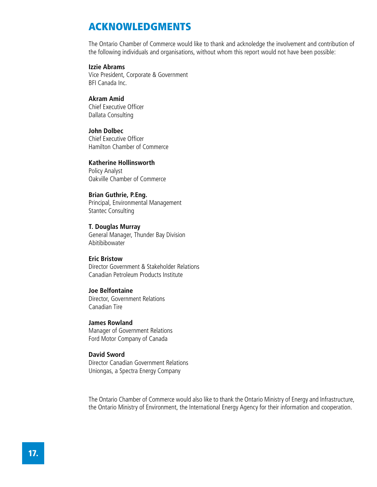# ACKNOWLEDGMENTS

The Ontario Chamber of Commerce would like to thank and acknoledge the involvement and contribution of the following individuals and organisations, without whom this report would not have been possible:

#### **Izzie Abrams**

Vice President, Corporate & Government BFI Canada Inc.

## **Akram Amid**

Chief Executive Officer Dallata Consulting

#### **John Dolbec**

Chief Executive Officer Hamilton Chamber of Commerce

#### **Katherine Hollinsworth**

Policy Analyst Oakville Chamber of Commerce

### **Brian Guthrie, P.Eng.**

Principal, Environmental Management Stantec Consulting

#### **T. Douglas Murray**

General Manager, Thunder Bay Division Abitibibowater

#### **Eric Bristow**

Director Government & Stakeholder Relations Canadian Petroleum Products Institute

### **Joe Belfontaine**

Director, Government Relations Canadian Tire

#### **James Rowland**

Manager of Government Relations Ford Motor Company of Canada

#### **David Sword**

Director Canadian Government Relations Uniongas, a Spectra Energy Company

The Ontario Chamber of Commerce would also like to thank the Ontario Ministry of Energy and Infrastructure, the Ontario Ministry of Environment, the International Energy Agency for their information and cooperation.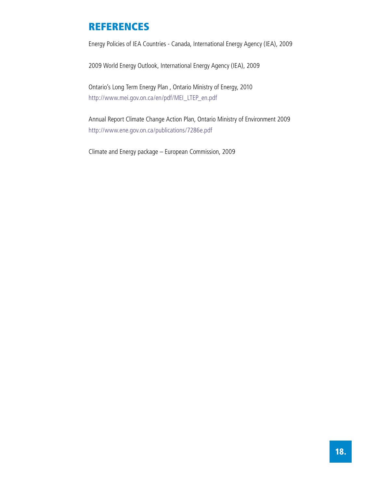# REFERENCES

Energy Policies of IEA Countries - Canada, International Energy Agency (IEA), 2009

2009 World Energy Outlook, International Energy Agency (IEA), 2009

Ontario's Long Term Energy Plan , Ontario Ministry of Energy, 2010 http://www.mei.gov.on.ca/en/pdf/MEI\_LTEP\_en.pdf

Annual Report Climate Change Action Plan, Ontario Ministry of Environment 2009 http://www.ene.gov.on.ca/publications/7286e.pdf

Climate and Energy package – European Commission, 2009